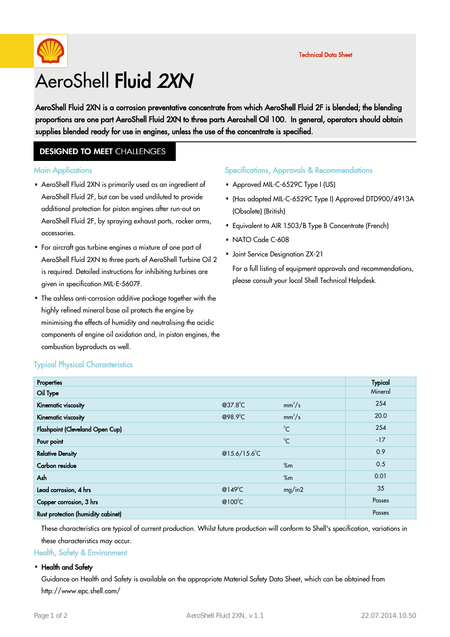

# AeroShell Fluid 2XN

AeroShell Fluid 2XN is a corrosion preventative concentrate from which AeroShell Fluid 2F is blended; the blending proportions are one part AeroShell Fluid 2XN to three parts Aeroshell Oil 100. In general, operators should obtain supplies blended ready for use in engines, unless the use of the concentrate is specified.

### **DESIGNED TO MEET CHALLENGES**

#### **Main Applications**

- AeroShell Fluid 2XN is primarily used as an ingredient of · AeroShell Fluid 2F, but can be used undiluted to provide additional protection for piston engines after run-out on AeroShell Fluid 2F, by spraying exhaust ports, rocker arms, accessories.
- For aircraft gas turbine engines a mixture of one part of · AeroShell Fluid 2XN to three parts of AeroShell Turbine Oil 2 is required. Detailed instructions for inhibiting turbines are given in specification MIL-E-5607F.
- The ashless anti-corrosion additive package together with the highly refined mineral base oil protects the engine by minimising the effects of humidity and neutralising the acidic components of engine oil oxidation and, in piston engines, the combustion byproducts as well. ·

#### Specifications, Approvals & Recommendations

- Approved MIL-C-6529C Type I (US)
- (Has adopted MIL-C-6529C Type I) Approved DTD900/4913A · (Obsolete) (British)
- Equivalent to AIR 1503/B Type B Concentrate (French)
- $\cdot$  NATO Code C-608
- Joint Service Designation ZX-21

For a full listing of equipment approvals and recommendations, please consult your local Shell Technical Helpdesk.

| <b>Typical Physical Characteristics</b> |  |
|-----------------------------------------|--|
|-----------------------------------------|--|

| Properties                         |                   |              | <b>Typical</b> |
|------------------------------------|-------------------|--------------|----------------|
| Oil Type                           |                   |              | Mineral        |
| Kinematic viscosity                | @37.8°C           | $mm^2/s$     | 254            |
| Kinematic viscosity                | @98.9°C           | $mm^2/s$     | 20.0           |
| Flashpoint (Cleveland Open Cup)    |                   | $^{\circ}C$  | 254            |
| Pour point                         |                   | $^{\circ}$ C | $-17$          |
| <b>Relative Density</b>            | @15.6/15.6°C      |              | 0.9            |
| Carbon residue                     |                   | %m           | 0.5            |
| Ash                                |                   | %m           | 0.01           |
| Lead corrosion, 4 hrs              | @149 $^{\circ}$ C | mg/in2       | 35             |
| Copper corrosion, 3 hrs            | @100 $^{\circ}$ C |              | Passes         |
| Rust protection (humidity cabinet) |                   |              | Passes         |

These characteristics are typical of current production. Whilst future production will conform to Shell's specification, variations in these characteristics may occur.

Health, Safety & Environment

#### • Health and Safety

Guidance on Health and Safety is available on the appropriate Material Safety Data Sheet, which can be obtained from http://www.epc.shell.com/